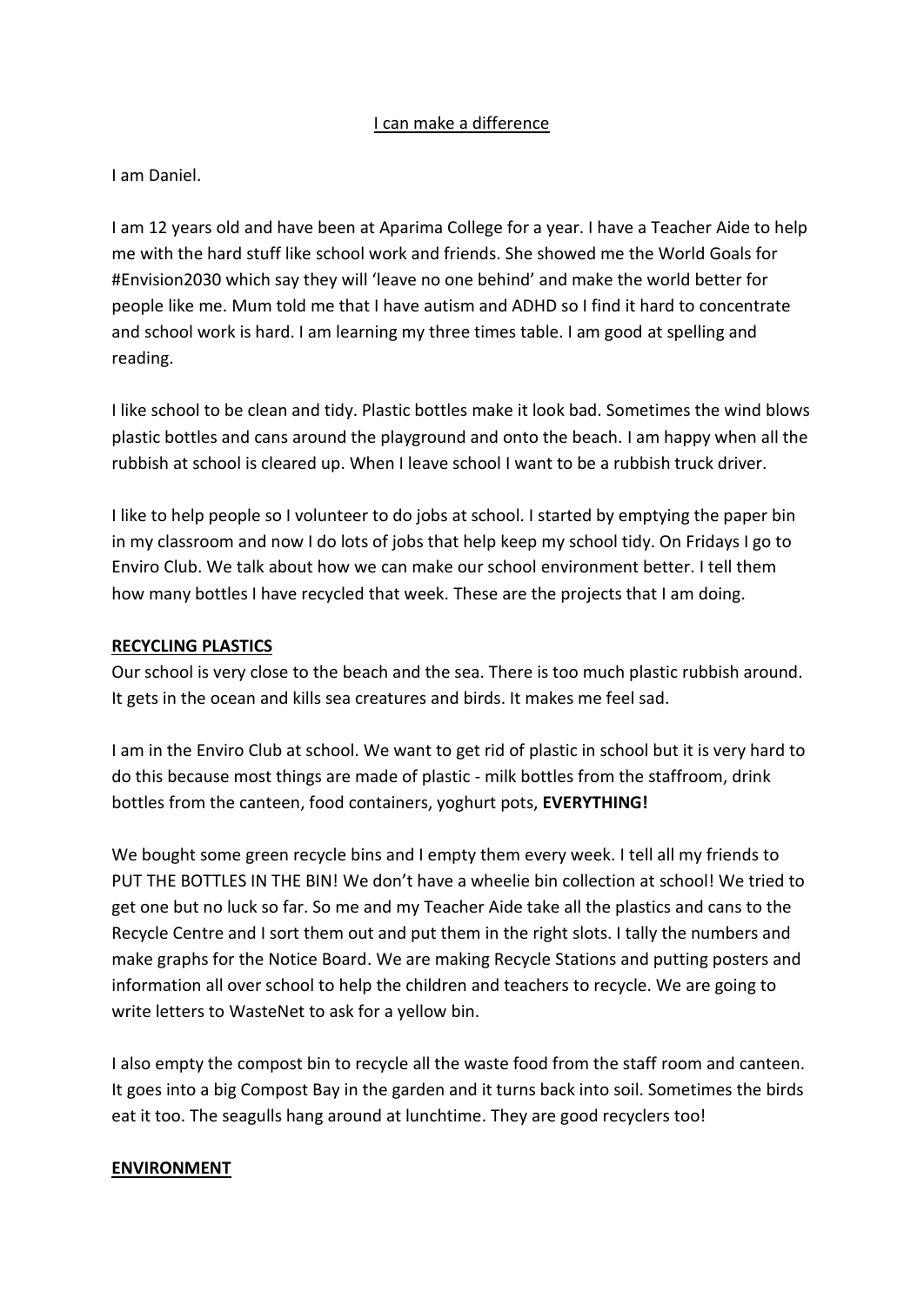# I can make a difference

### I am Daniel.

I am 12 years old and have been at Aparima College for a year. I have a Teacher Aide to help me with the hard stuff like school work and friends. She showed me the World Goals for #Envision2030 which say they will 'leave no one behind' and make the world better for people like me. Mum told me that I have autism and ADHD so I find it hard to concentrate and school work is hard. I am learning my three times table. I am good at spelling and reading.

I like school to be clean and tidy. Plastic bottles make it look bad. Sometimes the wind blows plastic bottles and cans around the playground and onto the beach. I am happy when all the rubbish at school is cleared up. When I leave school I want to be a rubbish truck driver.

I like to help people so I volunteer to do jobs at school. I started by emptying the paper bin in my classroom and now I do lots of jobs that help keep my school tidy. On Fridays I go to Enviro Club. We talk about how we can make our school environment better. I tell them how many bottles I have recycled that week. These are the projects that I am doing.

### **RECYCLING PLASTICS**

Our school is very close to the beach and the sea. There is too much plastic rubbish around. It gets in the ocean and kills sea creatures and birds. It makes me feel sad.

I am in the Enviro Club at school. We want to get rid of plastic in school but it is very hard to do this because most things are made of plastic - milk bottles from the staffroom, drink bottles from the canteen, food containers, yoghurt pots, **EVERYTHING!**

We bought some green recycle bins and I empty them every week. I tell all my friends to PUT THE BOTTLES IN THE BIN! We don't have a wheelie bin collection at school! We tried to get one but no luck so far. So me and my Teacher Aide take all the plastics and cans to the Recycle Centre and I sort them out and put them in the right slots. I tally the numbers and make graphs for the Notice Board. We are making Recycle Stations and putting posters and information all over school to help the children and teachers to recycle. We are going to write letters to WasteNet to ask for a yellow bin.

I also empty the compost bin to recycle all the waste food from the staff room and canteen. It goes into a big Compost Bay in the garden and it turns back into soil. Sometimes the birds eat it too. The seagulls hang around at lunchtime. They are good recyclers too!

### **ENVIRONMENT**